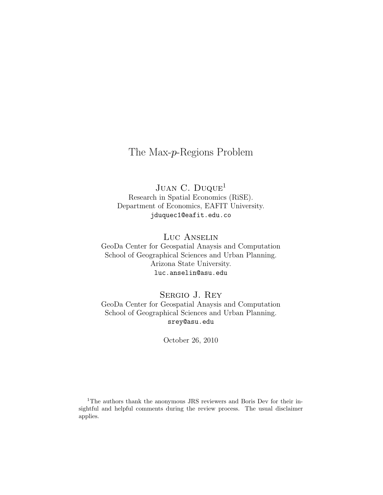# The Max-p-Regions Problem

JUAN C. DUQUE<sup>1</sup> Research in Spatial Economics (RiSE). Department of Economics, EAFIT University. jduquec1@eafit.edu.co

Luc Anselin GeoDa Center for Geospatial Anaysis and Computation School of Geographical Sciences and Urban Planning. Arizona State University. luc.anselin@asu.edu

Sergio J. Rey GeoDa Center for Geospatial Anaysis and Computation School of Geographical Sciences and Urban Planning. srey@asu.edu

October 26, 2010

<sup>1</sup>The authors thank the anonymous JRS reviewers and Boris Dev for their insightful and helpful comments during the review process. The usual disclaimer applies.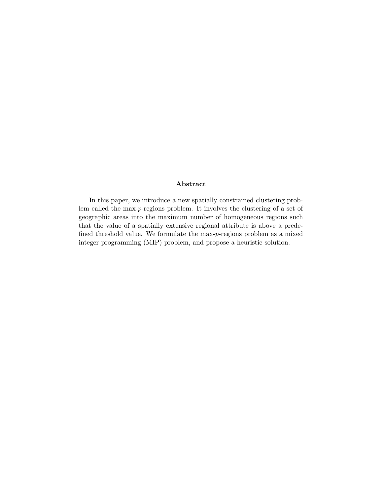#### Abstract

In this paper, we introduce a new spatially constrained clustering problem called the max-p-regions problem. It involves the clustering of a set of geographic areas into the maximum number of homogeneous regions such that the value of a spatially extensive regional attribute is above a predefined threshold value. We formulate the max-p-regions problem as a mixed integer programming (MIP) problem, and propose a heuristic solution.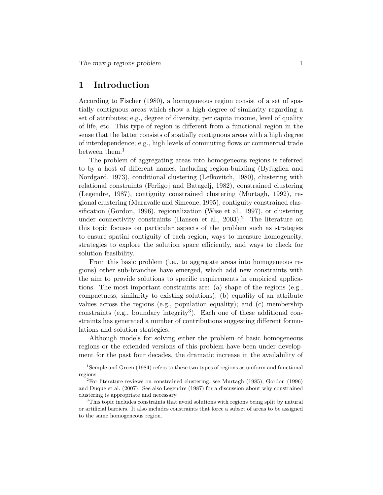## 1 Introduction

According to Fischer (1980), a homogeneous region consist of a set of spatially contiguous areas which show a high degree of similarity regarding a set of attributes; e.g., degree of diversity, per capita income, level of quality of life, etc. This type of region is different from a functional region in the sense that the latter consists of spatially contiguous areas with a high degree of interdependence; e.g., high levels of commuting flows or commercial trade between them.<sup>1</sup>

The problem of aggregating areas into homogeneous regions is referred to by a host of different names, including region-building (Byfuglien and Nordgard, 1973), conditional clustering (Lefkovitch, 1980), clustering with relational constraints (Ferligoj and Batagelj, 1982), constrained clustering (Legendre, 1987), contiguity constrained clustering (Murtagh, 1992), regional clustering (Maravalle and Simeone, 1995), contiguity constrained classification (Gordon, 1996), regionalization (Wise et al., 1997), or clustering under connectivity constraints (Hansen et al.,  $2003$ ).<sup>2</sup> The literature on this topic focuses on particular aspects of the problem such as strategies to ensure spatial contiguity of each region, ways to measure homogeneity, strategies to explore the solution space efficiently, and ways to check for solution feasibility.

From this basic problem (i.e., to aggregate areas into homogeneous regions) other sub-branches have emerged, which add new constraints with the aim to provide solutions to specific requirements in empirical applications. The most important constraints are: (a) shape of the regions (e.g., compactness, similarity to existing solutions); (b) equality of an attribute values across the regions (e.g., population equality); and (c) membership  $\alpha$  constraints (e.g., boundary integrity<sup>3</sup>). Each one of these additional constraints has generated a number of contributions suggesting different formulations and solution strategies.

Although models for solving either the problem of basic homogeneous regions or the extended versions of this problem have been under development for the past four decades, the dramatic increase in the availability of

<sup>&</sup>lt;sup>1</sup>Semple and Green (1984) refers to these two types of regions as uniform and functional regions.

 $2^2$ For literature reviews on constrained clustering, see Murtagh (1985), Gordon (1996) and Duque et al. (2007). See also Legendre (1987) for a discussion about why constrained clustering is appropriate and necessary.

<sup>&</sup>lt;sup>3</sup>This topic includes constraints that avoid solutions with regions being split by natural or artificial barriers. It also includes constraints that force a subset of areas to be assigned to the same homogeneous region.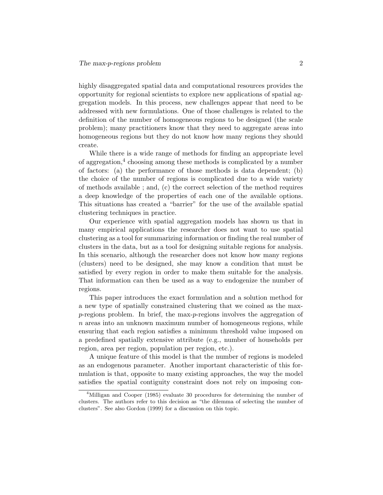highly disaggregated spatial data and computational resources provides the opportunity for regional scientists to explore new applications of spatial aggregation models. In this process, new challenges appear that need to be addressed with new formulations. One of those challenges is related to the definition of the number of homogeneous regions to be designed (the scale problem); many practitioners know that they need to aggregate areas into homogeneous regions but they do not know how many regions they should create.

While there is a wide range of methods for finding an appropriate level of aggregation,<sup>4</sup> choosing among these methods is complicated by a number of factors: (a) the performance of those methods is data dependent; (b) the choice of the number of regions is complicated due to a wide variety of methods available ; and, (c) the correct selection of the method requires a deep knowledge of the properties of each one of the available options. This situations has created a "barrier" for the use of the available spatial clustering techniques in practice.

Our experience with spatial aggregation models has shown us that in many empirical applications the researcher does not want to use spatial clustering as a tool for summarizing information or finding the real number of clusters in the data, but as a tool for designing suitable regions for analysis. In this scenario, although the researcher does not know how many regions (clusters) need to be designed, she may know a condition that must be satisfied by every region in order to make them suitable for the analysis. That information can then be used as a way to endogenize the number of regions.

This paper introduces the exact formulation and a solution method for a new type of spatially constrained clustering that we coined as the max $p$ -regions problem. In brief, the max- $p$ -regions involves the aggregation of  $n$  areas into an unknown maximum number of homogeneous regions, while ensuring that each region satisfies a minimum threshold value imposed on a predefined spatially extensive attribute (e.g., number of households per region, area per region, population per region, etc.).

A unique feature of this model is that the number of regions is modeled as an endogenous parameter. Another important characteristic of this formulation is that, opposite to many existing approaches, the way the model satisfies the spatial contiguity constraint does not rely on imposing con-

<sup>&</sup>lt;sup>4</sup>Milligan and Cooper (1985) evaluate 30 procedures for determining the number of clusters. The authors refer to this decision as "the dilemma of selecting the number of clusters". See also Gordon (1999) for a discussion on this topic.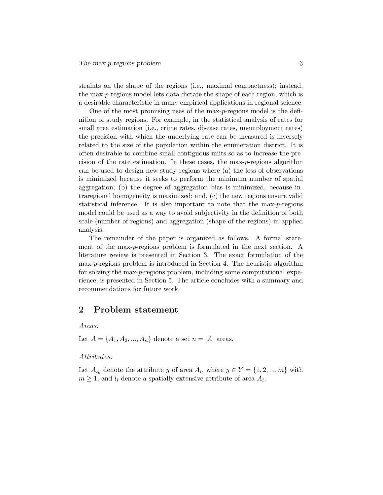straints on the shape of the regions (i.e., maximal compactness); instead, the max-p-regions model lets data dictate the shape of each region, which is a desirable characteristic in many empirical applications in regional science.

One of the most promising uses of the max-p-regions model is the definition of study regions. For example, in the statistical analysis of rates for small area estimation (i.e., crime rates, disease rates, unemployment rates) the precision with which the underlying rate can be measured is inversely related to the size of the population within the enumeration district. It is often desirable to combine small contiguous units so as to increase the precision of the rate estimation. In these cases, the max-p-regions algorithm can be used to design new study regions where (a) the loss of observations is minimized because it seeks to perform the minimum number of spatial aggregation; (b) the degree of aggregation bias is minimized, because intraregional homogeneity is maximized; and, (c) the new regions ensure valid statistical inference. It is also important to note that the max-p-regions model could be used as a way to avoid subjectivity in the definition of both scale (number of regions) and aggregation (shape of the regions) in applied analysis.

The remainder of the paper is organized as follows. A formal statement of the max-p-regions problem is formulated in the next section. A literature review is presented in Section 3. The exact formulation of the max-p-regions problem is introduced in Section 4. The heuristic algorithm for solving the max-p-regions problem, including some computational experience, is presented in Section 5. The article concludes with a summary and recommendations for future work.

## 2 Problem statement

Areas:

Let  $A = \{A_1, A_2, ..., A_n\}$  denote a set  $n = |A|$  areas.

#### Attributes:

Let  $A_{iy}$  denote the attribute y of area  $A_i$ , where  $y \in Y = \{1, 2, ..., m\}$  with  $m \geq 1$ ; and  $l_i$  denote a spatially extensive attribute of area  $A_i$ .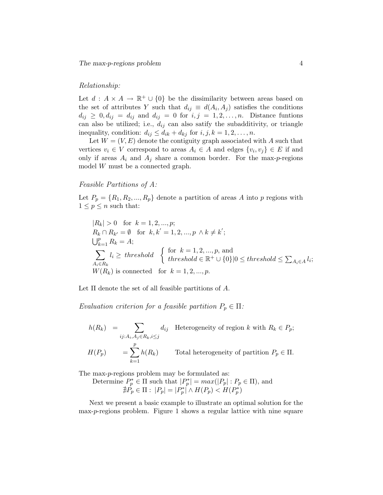#### Relationship:

Let  $d : A \times A \to \mathbb{R}^+ \cup \{0\}$  be the dissimilarity between areas based on the set of attributes Y such that  $d_{ij} \equiv d(A_i, A_j)$  satisfies the conditions  $d_{ij} \geq 0, d_{ij} = d_{ij}$  and  $d_{ij} = 0$  for  $i, j = 1, 2, \ldots, n$ . Distance funtions can also be utilized; i.e.,  $d_{ij}$  can also satify the subadditivity, or triangle inequality, condition:  $d_{ij} \leq d_{ik} + d_{kj}$  for  $i, j, k = 1, 2, ..., n$ .

Let  $W = (V, E)$  denote the contiguity graph associated with A such that vertices  $v_i \in V$  correspond to areas  $A_i \in A$  and edges  $\{v_i, v_j\} \in E$  if and only if areas  $A_i$  and  $A_j$  share a common border. For the max-p-regions model W must be a connected graph.

#### Feasible Partitions of A:

Let  $P_p = \{R_1, R_2, ..., R_p\}$  denote a partition of areas A into p regions with  $1 \leq p \leq n$  such that:

$$
|R_k| > 0 \text{ for } k = 1, 2, ..., p;
$$
  
\n
$$
R_k \cap R_{k'} = \emptyset \text{ for } k, k' = 1, 2, ..., p \land k \neq k';
$$
  
\n
$$
\bigcup_{k=1}^p R_k = A;
$$
  
\n
$$
\sum_{A_i \in R_k} l_i \ge \text{threshold} \left\{ \text{for } k = 1, 2, ..., p, \text{ and}
$$
  
\n
$$
\text{threshold} \in \mathbb{R}^+ \cup \{0\} |0 \le \text{threshold} \le \sum_{A_i \in A} l_i;
$$
  
\n
$$
W(R_k) \text{ is connected for } k = 1, 2, ..., p.
$$

Let  $\Pi$  denote the set of all feasible partitions of  $A$ .

Evaluation criterion for a feasible partition  $P_p \in \Pi$ :

 $h(R_k) = \sum$ ij: $A_i, A_j ∈ R_k, i≤j$  $d_{ij}$  Heterogeneity of region k with  $R_k \in P_p$ ;  $H(P_p)$  =  $\sum$ p  $_{k=1}$  $h(R_k)$  Total heterogeneity of partition  $P_p \in \Pi$ .

The max-p-regions problem may be formulated as:

Determine  $P_p^* \in \Pi$  such that  $|P_p^*| = max(|P_p| : P_p \in \Pi)$ , and  $\nexists \hat{P_p} \in \Pi : |P_p| = |P_p^*| \wedge H(P_p) < H(P_p^*)$ 

Next we present a basic example to illustrate an optimal solution for the max-p-regions problem. Figure 1 shows a regular lattice with nine square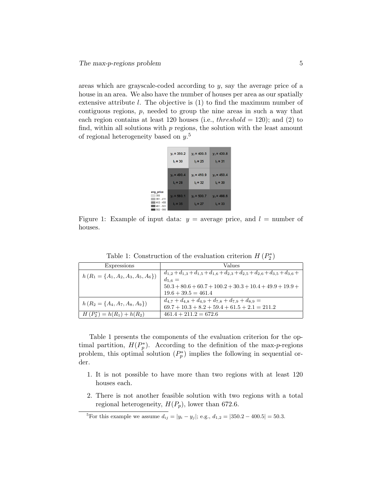areas which are grayscale-coded according to y, say the average price of a house in an area. We also have the number of houses per area as our spatially extensive attribute l. The objective is (1) to find the maximum number of contiguous regions,  $p$ , needed to group the nine areas in such a way that each region contains at least 120 houses (i.e.,  $threshold = 120$ ); and (2) to find, within all solutions with  $p$  regions, the solution with the least amount of regional heterogeneity based on  $y$ .<sup>5</sup>

|                                                                           | $v_1 = 350.2$               | $y_2$ = 400.5                     | $y_3 = 430.8$               |
|---------------------------------------------------------------------------|-----------------------------|-----------------------------------|-----------------------------|
|                                                                           | $I_1 = 30$                  | $I_2 = 25$                        | $I_3 = 31$                  |
|                                                                           | $y_4$ = 490.4               | $y_5 = 410.9$                     | $y_6$ = 450.4               |
|                                                                           | $I_4 = 28$                  | $I_5 = 32$                        | $I_6 = 30$                  |
| avg_price<br>350<br>$351 - 411$<br>$412 - 450$<br>$451 - 501$<br>LE02 EGO | $y_7 = 560.1$<br>$I_7 = 35$ | $y_8$ = 500.7<br>$I_{\rm R} = 27$ | $y_9$ = 498.6<br>$I_q = 33$ |

Figure 1: Example of input data:  $y =$  average price, and  $l =$  number of houses.

| Expressions                            | Values                                                                                                           |
|----------------------------------------|------------------------------------------------------------------------------------------------------------------|
| $h(R_1 = \{A_1, A_2, A_3, A_5, A_6\})$ | $d_{1,2}+d_{1,3}+d_{1,5}+d_{1,6}+d_{2,3}+d_{2,5}+d_{2,6}+d_{3,5}+d_{3,6}+$<br>$d_{5.6} =$                        |
|                                        | $50.3 + 80.6 + 60.7 + 100.2 + 30.3 + 10.4 + 49.9 + 19.9 +$                                                       |
|                                        | $19.6 + 39.5 = 461.4$                                                                                            |
| $h(R_2 = \{A_4, A_7, A_8, A_9\})$      | $d_{4,7} + d_{4,8} + d_{4,9} + d_{7,8} + d_{7,9} + d_{8,9} =$<br>$69.7 + 10.3 + 8.2 + 59.4 + 61.5 + 2.1 = 211.2$ |
| $H(P_2^*) = h(R_1) + h(R_2)$           | $461.4 + 211.2 = 672.6$                                                                                          |

Table 1: Construction of the evaluation criterion  $H(P_2^*)$ 

Table 1 presents the components of the evaluation criterion for the optimal partition,  $H(P_p^*)$ . According to the definition of the max-p-regions problem, this optimal solution  $(P_p^*)$  implies the following in sequential order.

- 1. It is not possible to have more than two regions with at least 120 houses each.
- 2. There is not another feasible solution with two regions with a total regional heterogeneity,  $H(P_p)$ , lower than 672.6.

<sup>&</sup>lt;sup>5</sup>For this example we assume  $d_{ij} = |y_i - y_j|$ ; e.g.,  $d_{1,2} = |350.2 - 400.5| = 50.3$ .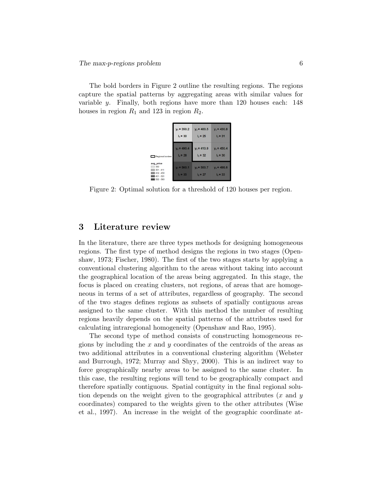The bold borders in Figure 2 outline the resulting regions. The regions capture the spatial patterns by aggregating areas with similar values for variable y. Finally, both regions have more than 120 houses each: 148 houses in region  $R_1$  and 123 in region  $R_2$ .

|                                                                              | $v_1 = 350.2$               | $v_2$ = 400.5               | $y_3 = 430.8$              |
|------------------------------------------------------------------------------|-----------------------------|-----------------------------|----------------------------|
|                                                                              | $I_1 = 30$                  | 1.25                        | $I_2 = 31$                 |
| Regional borders                                                             | $y_4 = 490.4$               | $y_5 = 410.9$               | $y_6 = 450.4$              |
|                                                                              | $I_4 = 28$                  | $I_5 = 32$                  | $I_6 = 30$                 |
| avg price<br>350<br>$351 - 411$<br>$412 - 450$<br>$451 - 501$<br>$502 - 560$ | $v_7$ = 560.1<br>$1.7 = 35$ | $v_8$ = 500.7<br>$I_8 = 27$ | $v9$ = 498.6<br>$I_0 = 33$ |

Figure 2: Optimal solution for a threshold of 120 houses per region.

## 3 Literature review

In the literature, there are three types methods for designing homogeneous regions. The first type of method designs the regions in two stages (Openshaw, 1973; Fischer, 1980). The first of the two stages starts by applying a conventional clustering algorithm to the areas without taking into account the geographical location of the areas being aggregated. In this stage, the focus is placed on creating clusters, not regions, of areas that are homogeneous in terms of a set of attributes, regardless of geography. The second of the two stages defines regions as subsets of spatially contiguous areas assigned to the same cluster. With this method the number of resulting regions heavily depends on the spatial patterns of the attributes used for calculating intraregional homogeneity (Openshaw and Rao, 1995).

The second type of method consists of constructing homogeneous regions by including the x and y coordinates of the centroids of the areas as two additional attributes in a conventional clustering algorithm (Webster and Burrough, 1972; Murray and Shyy, 2000). This is an indirect way to force geographically nearby areas to be assigned to the same cluster. In this case, the resulting regions will tend to be geographically compact and therefore spatially contiguous. Spatial contiguity in the final regional solution depends on the weight given to the geographical attributes  $(x \text{ and } y)$ coordinates) compared to the weights given to the other attributes (Wise et al., 1997). An increase in the weight of the geographic coordinate at-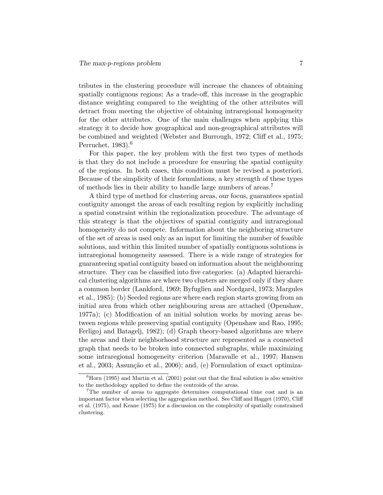tributes in the clustering procedure will increase the chances of obtaining spatially contiguous regions; As a trade-off, this increase in the geographic distance weighting compared to the weighting of the other attributes will detract from meeting the objective of obtaining intraregional homogeneity for the other attributes. One of the main challenges when applying this strategy it to decide how geographical and non-geographical attributes will be combined and weighted (Webster and Burrough, 1972; Cliff et al., 1975; Perruchet,  $1983$ <sup>6</sup>

For this paper, the key problem with the first two types of methods is that they do not include a procedure for ensuring the spatial contiguity of the regions. In both cases, this condition must be revised a posteriori. Because of the simplicity of their formulations, a key strength of these types of methods lies in their ability to handle large numbers of areas.<sup>7</sup>

A third type of method for clustering areas, our focus, guarantees spatial contiguity amongst the areas of each resulting region by explicitly including a spatial constraint within the regionalization procedure. The advantage of this strategy is that the objectives of spatial contiguity and intraregional homogeneity do not compete. Information about the neighboring structure of the set of areas is used only as an input for limiting the number of feasible solutions, and within this limited number of spatially contiguous solutions is intraregional homogeneity assessed. There is a wide range of strategies for guaranteeing spatial contiguity based on information about the neighbouring structure. They can be classified into five categories: (a) Adapted hierarchical clustering algorithms are where two clusters are merged only if they share a common border (Lankford, 1969; Byfuglien and Nordgard, 1973; Margules et al., 1985); (b) Seeded regions are where each region starts growing from an initial area from which other neighbouring areas are attached (Openshaw, 1977a); (c) Modification of an initial solution works by moving areas between regions while preserving spatial contiguity (Openshaw and Rao, 1995; Ferligoj and Batagelj, 1982); (d) Graph theory-based algorithms are where the areas and their neighborhood structure are represented as a connected graph that needs to be broken into connected subgraphs, while maximizing some intraregional homogeneity criterion (Maravalle et al., 1997; Hansen et al., 2003; Assunção et al., 2006); and, (e) Formulation of exact optimiza-

 ${}^{6}$ Horn (1995) and Martin et al. (2001) point out that the final solution is also sensitive to the methodology applied to define the centroids of the areas.

<sup>7</sup>The number of areas to aggregate determines computational time cost and is an important factor when selecting the aggregation method. See Cliff and Hagget (1970), Cliff et al. (1975), and Keane (1975) for a discussion on the complexity of spatially constrained clustering.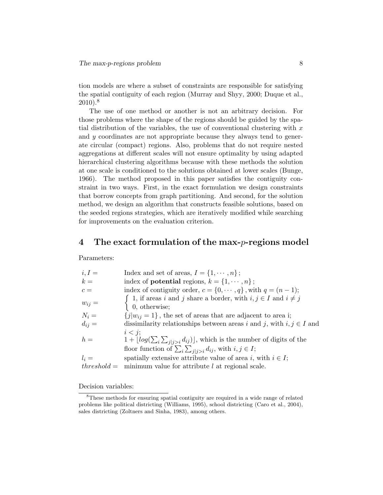tion models are where a subset of constraints are responsible for satisfying the spatial contiguity of each region (Murray and Shyy, 2000; Duque et al.,  $2010$ ).<sup>8</sup>

The use of one method or another is not an arbitrary decision. For those problems where the shape of the regions should be guided by the spatial distribution of the variables, the use of conventional clustering with  $x$ and y coordinates are not appropriate because they always tend to generate circular (compact) regions. Also, problems that do not require nested aggregations at different scales will not ensure optimality by using adapted hierarchical clustering algorithms because with these methods the solution at one scale is conditioned to the solutions obtained at lower scales (Bunge, 1966). The method proposed in this paper satisfies the contiguity constraint in two ways. First, in the exact formulation we design constraints that borrow concepts from graph partitioning. And second, for the solution method, we design an algorithm that constructs feasible solutions, based on the seeded regions strategies, which are iteratively modified while searching for improvements on the evaluation criterion.

### 4 The exact formulation of the max- $p$ -regions model

Parameters:

| $i, I =$      | Index and set of areas, $I = \{1, \dots, n\}$ ;                                                                                                                                                |
|---------------|------------------------------------------------------------------------------------------------------------------------------------------------------------------------------------------------|
| $k =$         | index of <b>potential</b> regions, $k = \{1, \dots, n\}$ ;                                                                                                                                     |
| $c =$         | index of contiguity order, $c = \{0, \dots, q\}$ , with $q = (n-1)$ ;                                                                                                                          |
| $w_{ij} =$    | $\int 1$ , if areas i and j share a border, with $i, j \in I$ and $i \neq j$<br>$\left  0, \text{ otherwise:} \right.$                                                                         |
| $N_i =$       | ${j w_{ij} = 1}$ , the set of areas that are adjacent to area i;                                                                                                                               |
| $d_{ij} =$    | dissimilarity relationships between areas i and j, with $i, j \in I$ and                                                                                                                       |
| $h =$         | $i < i$ :<br>$1 + \lfloor log(\sum_{i} \sum_{j   j > i} d_{ij}) \rfloor$ , which is the number of digits of the<br>floor function of $\sum_i \sum_{j \mid j > i} d_{ij}$ , with $i, j \in I$ ; |
| $l_i =$       | spatially extensive attribute value of area i, with $i \in I$ ;                                                                                                                                |
| $threshold =$ | minimum value for attribute $l$ at regional scale.                                                                                                                                             |

Decision variables:

<sup>8</sup>These methods for ensuring spatial contiguity are required in a wide range of related problems like political districting (Williams, 1995), school districting (Caro et al., 2004), sales districting (Zoltners and Sinha, 1983), among others.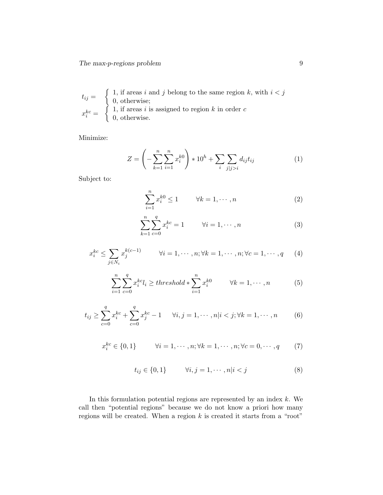$$
t_{ij} = \begin{cases} 1, & \text{if areas } i \text{ and } j \text{ belong to the same region } k, \text{ with } i < j \\ 0, & \text{otherwise;} \\ 1, & \text{if areas } i \text{ is assigned to region } k \text{ in order } c \\ 0, & \text{otherwise.} \end{cases}
$$

Minimize:

$$
Z = \left(-\sum_{k=1}^{n} \sum_{i=1}^{n} x_i^{k0}\right) * 10^h + \sum_{i} \sum_{j \mid j > i} d_{ij} t_{ij}
$$
 (1)

Subject to:

$$
\sum_{i=1}^{n} x_i^{k0} \le 1 \qquad \forall k = 1, \cdots, n \tag{2}
$$

$$
\sum_{k=1}^{n} \sum_{c=0}^{q} x_i^{kc} = 1 \qquad \forall i = 1, \cdots, n
$$
 (3)

$$
x_i^{kc} \le \sum_{j \in N_i} x_j^{k(c-1)} \qquad \forall i = 1, \cdots, n; \forall k = 1, \cdots, n; \forall c = 1, \cdots, q \qquad (4)
$$

$$
\sum_{i=1}^{n} \sum_{c=0}^{q} x_i^{kc} l_i \ge threshold * \sum_{i=1}^{n} x_i^{k0} \qquad \forall k = 1, \cdots, n
$$
 (5)

$$
t_{ij} \ge \sum_{c=0}^{q} x_i^{kc} + \sum_{c=0}^{q} x_j^{kc} - 1 \quad \forall i, j = 1, \cdots, n | i < j; \forall k = 1, \cdots, n \tag{6}
$$

$$
x_i^{kc} \in \{0, 1\} \qquad \forall i = 1, \cdots, n; \forall k = 1, \cdots, n; \forall c = 0, \cdots, q \qquad (7)
$$

$$
t_{ij} \in \{0, 1\} \qquad \forall i, j = 1, \cdots, n | i < j \tag{8}
$$

In this formulation potential regions are represented by an index  $k$ . We call then "potential regions" because we do not know a priori how many regions will be created. When a region  $k$  is created it starts from a "root"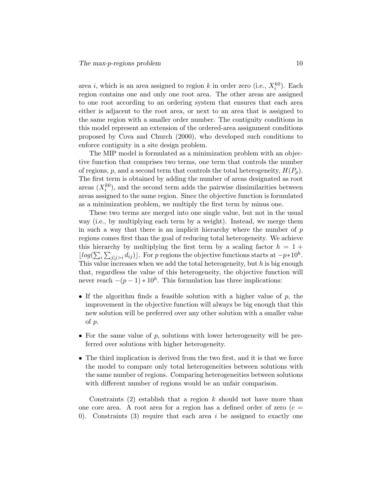area i, which is an area assigned to region k in order zero (i.e.,  $X_i^{k0}$ ). Each region contains one and only one root area. The other areas are assigned to one root according to an ordering system that ensures that each area either is adjacent to the root area, or next to an area that is assigned to the same region with a smaller order number. The contiguity conditions in this model represent an extension of the ordered-area assignment conditions proposed by Cova and Church (2000), who developed such conditions to enforce contiguity in a site design problem.

The MIP model is formulated as a minimization problem with an objective function that comprises two terms, one term that controls the number of regions, p, and a second term that controls the total heterogeneity,  $H(P_n)$ . The first term is obtained by adding the number of areas designated as root areas  $(X_i^{k0})$ , and the second term adds the pairwise dissimilarities between areas assigned to the same region. Since the objective function is formulated as a minimization problem, we multiply the first term by minus one.

These two terms are merged into one single value, but not in the usual way (i.e., by multiplying each term by a weight). Instead, we merge them in such a way that there is an implicit hierarchy where the number of  $p$ regions comes first than the goal of reducing total heterogeneity. We achieve this hierarchy by multiplying the first term by a scaling factor  $h = 1 +$  $\lfloor log(\sum_i \sum_{j|j>i} d_{ij}) \rfloor$ . For p regions the objective functions starts at  $-p*10^h$ . This value increases when we add the total heterogeneity, but  $h$  is big enough that, regardless the value of this heterogeneity, the objective function will never reach  $-(p-1) * 10<sup>h</sup>$ . This formulation has three implications:

- If the algorithm finds a feasible solution with a higher value of  $p$ , the improvement in the objective function will always be big enough that this new solution will be preferred over any other solution with a smaller value of p.
- For the same value of  $p$ , solutions with lower heterogeneity will be preferred over solutions with higher heterogeneity.
- The third implication is derived from the two first, and it is that we force the model to compare only total heterogeneities between solutions with the same number of regions. Comparing heterogeneities between solutions with different number of regions would be an unfair comparison.

Constraints  $(2)$  establish that a region k should not have more than one core area. A root area for a region has a defined order of zero  $(c =$ 0). Constraints (3) require that each area  $i$  be assigned to exactly one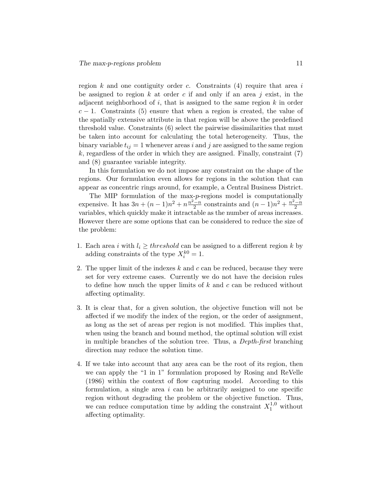region  $k$  and one contiguity order  $c$ . Constraints  $(4)$  require that area i be assigned to region k at order c if and only if an area j exist, in the adjacent neighborhood of  $i$ , that is assigned to the same region  $k$  in order  $c-1$ . Constraints (5) ensure that when a region is created, the value of the spatially extensive attribute in that region will be above the predefined threshold value. Constraints (6) select the pairwise dissimilarities that must be taken into account for calculating the total heterogeneity. Thus, the binary variable  $t_{ij} = 1$  whenever areas i and j are assigned to the same region  $k$ , regardless of the order in which they are assigned. Finally, constraint  $(7)$ and (8) guarantee variable integrity.

In this formulation we do not impose any constraint on the shape of the regions. Our formulation even allows for regions in the solution that can appear as concentric rings around, for example, a Central Business District.

The MIP formulation of the max-p-regions model is computationally expensive. It has  $3n + (n-1)n^2 + n\frac{n^2-n}{2}$  $\frac{1-n}{2}$  constraints and  $(n-1)n^2 + \frac{n^2-n}{2}$ 2 variables, which quickly make it intractable as the number of areas increases. However there are some options that can be considered to reduce the size of the problem:

- 1. Each area i with  $l_i \geq threshold$  can be assigned to a different region k by adding constraints of the type  $X_i^{k0} = 1$ .
- 2. The upper limit of the indexes  $k$  and  $c$  can be reduced, because they were set for very extreme cases. Currently we do not have the decision rules to define how much the upper limits of  $k$  and  $c$  can be reduced without affecting optimality.
- 3. It is clear that, for a given solution, the objective function will not be affected if we modify the index of the region, or the order of assignment, as long as the set of areas per region is not modified. This implies that, when using the branch and bound method, the optimal solution will exist in multiple branches of the solution tree. Thus, a Depth-first branching direction may reduce the solution time.
- 4. If we take into account that any area can be the root of its region, then we can apply the "1 in 1" formulation proposed by Rosing and ReVelle (1986) within the context of flow capturing model. According to this formulation, a single area  $i$  can be arbitrarily assigned to one specific region without degrading the problem or the objective function. Thus, we can reduce computation time by adding the constraint  $X_1^{1,0}$  without affecting optimality.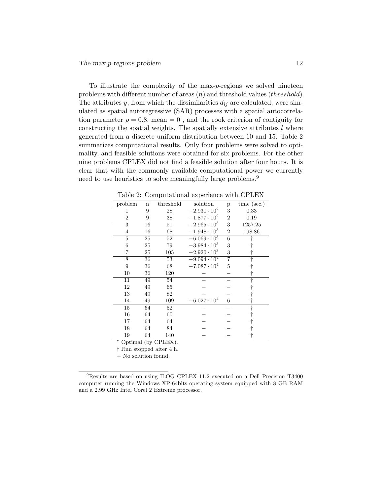To illustrate the complexity of the max-p-regions we solved nineteen problems with different number of areas  $(n)$  and threshold values  $threshold)$ . The attributes y, from which the dissimilarities  $d_{ij}$  are calculated, were simulated as spatial autoregressive (SAR) processes with a spatial autocorrelation parameter  $\rho = 0.8$ , mean  $= 0$ , and the rook criterion of contiguity for constructing the spatial weights. The spatially extensive attributes  $l$  where generated from a discrete uniform distribution between 10 and 15. Table 2 summarizes computational results. Only four problems were solved to optimality, and feasible solutions were obtained for six problems. For the other nine problems CPLEX did not find a feasible solution after four hours. It is clear that with the commonly available computational power we currently need to use heuristics to solve meaningfully large problems.<sup>9</sup>

| problem        | $\mathbf n$ | threshold | solution                       | p                         | time (sec.) |
|----------------|-------------|-----------|--------------------------------|---------------------------|-------------|
| 1              | 9           | 28        | $-2.931 \cdot 10^{2}$          | $\overline{\overline{3}}$ | 0.33        |
| $\overline{2}$ | 9           | 38        | $-1.877 \cdot 10^{2}$          | $\overline{2}$            | 0.19        |
| 3              | 16          | 51        | $-\overline{2.965 \cdot 10^3}$ | 3                         | 1257.25     |
| 4              | 16          | 68        | $-1.948 \cdot 10^{3}$          | $\overline{2}$            | 198.86      |
| 5              | 25          | 52        | $-6.069 \cdot 10^{3}$          | 6                         |             |
| 6              | 25          | 79        | $-3.984 \cdot 10^{3}$          | 3                         |             |
| 7              | 25          | 105       | $-2.920 \cdot 10^{3}$          | 3                         |             |
| 8              | 36          | 53        | $-9.094 \cdot 10^{4}$          | $\overline{7}$            |             |
| 9              | 36          | 68        | $-7.087 \cdot 10^{4}$          | 5                         |             |
| 10             | 36          | 120       |                                |                           |             |
| 11             | 49          | 54        |                                |                           |             |
| 12             | 49          | 65        |                                |                           |             |
| 13             | 49          | 82        |                                |                           |             |
| 14             | 49          | 109       | $-6.027 \cdot 10^{4}$          | 6                         |             |
| 15             | 64          | 52        |                                |                           |             |
| 16             | 64          | 60        |                                |                           |             |
| 17             | 64          | 64        |                                |                           |             |
| 18             | 64          | 84        |                                |                           |             |
| 19             | 64          | 140       |                                |                           |             |

Table 2: Computational experience with CPLEX

<sup>∗</sup> Optimal (by CPLEX).

† Run stopped after 4 h.

− No solution found.

<sup>9</sup>Results are based on using ILOG CPLEX 11.2 executed on a Dell Precision T3400 computer running the Windows XP-64bits operating system equipped with 8 GB RAM and a 2.99 GHz Intel Corel 2 Extreme processor.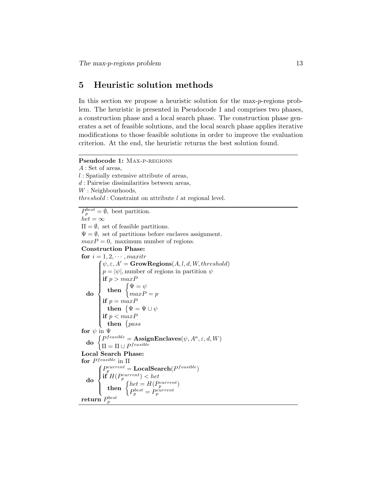## 5 Heuristic solution methods

In this section we propose a heuristic solution for the max-p-regions problem. The heuristic is presented in Pseudocode 1 and comprises two phases, a construction phase and a local search phase. The construction phase generates a set of feasible solutions, and the local search phase applies iterative modifications to those feasible solutions in order to improve the evaluation criterion. At the end, the heuristic returns the best solution found.

```
Pseudocode 1: MAX-P-REGIONS
A : Set of areas,
l : Spatially extensive attribute of areas,
d : Pairwise dissimilarities between areas,
W: Neighbourhoods,
threshold: Constraint on attribute l at regional level.
```
 $P_p^{best} = \emptyset$ , best partition.  $het = \infty$  $\Pi = \emptyset$ , set of feasible partitions.  $\Psi = \emptyset$ , set of partitions before enclaves assignment.  $maxP = 0$ , maximum number of regions. Construction Phase: for  $i = 1, 2, \cdots$ , maxitr do  $\oint \psi, \varepsilon, A' = \text{GrowRegions}(A, l, d, W, threshold)$  $\left| \begin{array}{c} \hline \end{array} \right|$  $\begin{array}{c} \hline \end{array}$  $p = |\psi|$ , number of regions in partition  $\psi$ if  $p > maxP$ then  $\begin{cases} \Psi = \psi \end{cases}$  $maxP = p$ if  $p = maxP$  $\textbf{then} \;\; \{\Psi = \Psi \cup \psi\}$ if  $p < maxP$ then  $\{pass$ for  $\psi$  in  $\Psi$  $\textbf{do} \begin{cases} P^{feasible} = \textbf{AssignEnclaves}(\psi, A^a, \varepsilon, d, W) \\ \textbf{h} \quad \textbf{h} \in \mathcal{L}^{feasible} \end{cases}$  $\Pi = \Pi \cup P^{feasible}$ Local Search Phase: for  $P^{feasible}$  in  $\Pi$ do  $\sqrt{ }$  $\int$  $\overline{\mathcal{L}}$  $P^{current}_p = \mathbf{LocalSearch}(P^{feasible})$ if  $H(P_p^{current}) < het$ then  $\begin{cases} het = H(P_p^{current}) \\ p_{best} \\ pcurrent \end{cases}$  $P_p^{best} = P_p^{current}$  $\operatorname{return}\, P^{best}_p$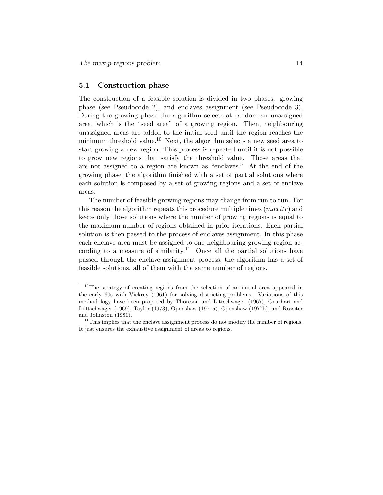### 5.1 Construction phase

The construction of a feasible solution is divided in two phases: growing phase (see Pseudocode 2), and enclaves assignment (see Pseudocode 3). During the growing phase the algorithm selects at random an unassigned area, which is the "seed area" of a growing region. Then, neighbouring unassigned areas are added to the initial seed until the region reaches the minimum threshold value.<sup>10</sup> Next, the algorithm selects a new seed area to start growing a new region. This process is repeated until it is not possible to grow new regions that satisfy the threshold value. Those areas that are not assigned to a region are known as "enclaves." At the end of the growing phase, the algorithm finished with a set of partial solutions where each solution is composed by a set of growing regions and a set of enclave areas.

The number of feasible growing regions may change from run to run. For this reason the algorithm repeats this procedure multiple times  $(maxitr)$  and keeps only those solutions where the number of growing regions is equal to the maximum number of regions obtained in prior iterations. Each partial solution is then passed to the process of enclaves assignment. In this phase each enclave area must be assigned to one neighbouring growing region according to a measure of similarity.<sup>11</sup> Once all the partial solutions have passed through the enclave assignment process, the algorithm has a set of feasible solutions, all of them with the same number of regions.

<sup>10</sup>The strategy of creating regions from the selection of an initial area appeared in the early 60s with Vickrey (1961) for solving districting problems. Variations of this methodology have been proposed by Thoreson and Littschwager (1967), Gearhart and Liittschwager (1969), Taylor (1973), Openshaw (1977a), Openshaw (1977b), and Rossiter and Johnston (1981).

 $11$ This implies that the enclave assignment process do not modify the number of regions. It just ensures the exhaustive assignment of areas to regions.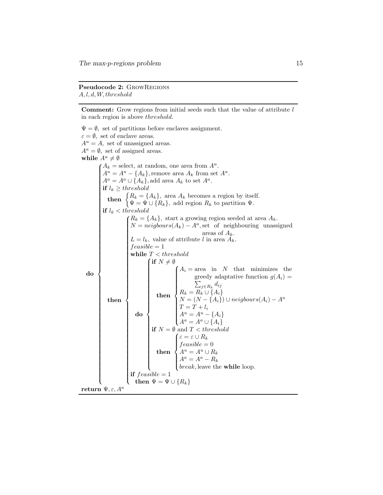#### Pseudocode 2: GrowRegions A, l, d, W, threshold

**Comment:** Grow regions from initial seeds such that the value of attribute  $l$ in each region is above threshold.

 $\Psi = \emptyset$ , set of partitions before enclaves assignment.  $\varepsilon = \emptyset$ , set of enclave areas.  $A^u = A$ , set of unassigned areas.  $A^a = \emptyset$ , set of assigned areas. while  $A^u \neq \emptyset$ do  $A_k$  = select, at random, one area from  $A^u$ .  $A^u = A^u - \{A_k\}$ , remove area  $A_k$  from set  $A^u$ .  $A^a = A^a \cup \{A_k\}$ , add area  $A_k$  to set  $A^a$ . if  $l_k \geq threshold$ then  $\{R_k = \{A_k\}$ , area  $A_k$  becomes a region by itself.  $\Psi = \Psi \cup \{R_k\}$ , add region  $R_k$  to partition  $\Psi$ . if  $l_k < threshold$ then  $R_k = \{A_k\}$ , start a growing region seeded at area  $A_k$ .  $N = neighbors(A_k) - A^a$ , set of neighbouring unassigned areas of  $A_k$ .  $L = l_k$ , value of attribute l in area  $\ddot{A_k}$ .  $feasible = 1$ while  $T < threshold$ do  $\int$  if  $N \neq \emptyset$  $\begin{array}{c} \begin{array}{c} \begin{array}{c} \end{array} \\ \begin{array}{c} \end{array} \end{array} \end{array}$  then  $A_i = \text{area}$  in N that minimizes the  $\begin{array}{c} \hline \end{array}$  greedy adaptative function  $g(A_i)$  =  $\sum_{j\in R_k} d_{ij}$  $R_k = R_k \cup \{A_i\}$  $N = (N - \{A_i\}) \cup neighbors(A_i) - A^a$  $T = T + l_i$  $A^u = A^u - \{A_i\}$  $A^a = A^a \cup \{A_i\}$ if  $N = \emptyset$  and  $T < threshold$ then  $\sqrt{ }$  $\int$  $\overline{\mathcal{L}}$  $\varepsilon = \varepsilon \cup R_k$  $feasible = 0$  $A^u = A^u \cup R_k$  $A^a = A^a - R_k$ break, leave the while loop. if  $feasible = 1$ then  $\Psi = \Psi \cup \{R_k\}$ return  $\Psi, \varepsilon, A^a$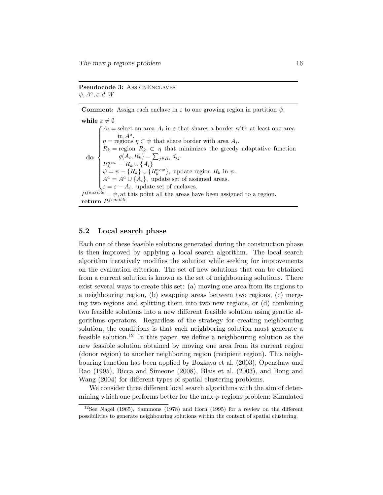Pseudocode 3: ASSIGNENCLAVES  $\psi, A^a, \varepsilon, d, W$ 

**Comment:** Assign each enclave in  $\varepsilon$  to one growing region in partition  $\psi$ .

while  $\varepsilon \neq \emptyset$ do  $\sqrt{ }$  $\begin{array}{c} \hline \end{array}$  $\overline{\mathcal{L}}$  $A_i$  = select an area  $A_i$  $iA_i$  = select an area  $A_i$  in  $\varepsilon$  that shares a border with at least one area in  $A^a$ .  $\eta$  = regions  $\eta \subset \psi$  that share border with area  $A_i$ .  $R_k$  = region  $R_k \subset \eta$  that minimizes the greedy adaptative function  $g(A_i, R_k) = \sum_{j \in R_k} d_{ij}.$  $R_k^{new} = R_k \cup \{A_i\}$  $\psi = \psi - \{R_k\} \cup \{R_k^{new}\},\$ update region  $R_k$  in  $\psi$ .  $A^a = A^a \cup \{A_i\}$ , update set of assigned areas.  $\varepsilon = \varepsilon - A_i$ , update set of enclaves. , update set of enclaves.  $P^{feasible} = \psi$ , at this point all the areas have been assigned to a region.  ${\bf return} \; P^{feasible}$ 

#### 5.2 Local search phase

Each one of these feasible solutions generated during the construction phase is then improved by applying a local search algorithm. The local search algorithm iteratively modifies the solution while seeking for improvements on the evaluation criterion. The set of new solutions that can be obtained from a current solution is known as the set of neighbouring solutions. There exist several ways to create this set: (a) moving one area from its regions to a neighbouring region, (b) swapping areas between two regions, (c) merging two regions and splitting them into two new regions, or (d) combining two feasible solutions into a new different feasible solution using genetic algorithms operators. Regardless of the strategy for creating neighbouring solution, the conditions is that each neighboring solution must generate a feasible solution.<sup>12</sup> In this paper, we define a neighbouring solution as the new feasible solution obtained by moving one area from its current region (donor region) to another neighboring region (recipient region). This neighbouring function has been applied by Bozkaya et al. (2003), Openshaw and Rao (1995), Ricca and Simeone (2008), Blais et al. (2003), and Bong and Wang (2004) for different types of spatial clustering problems.

We consider three different local search algorithms with the aim of determining which one performs better for the max-p-regions problem: Simulated

 $12$ See Nagel (1965), Sammons (1978) and Horn (1995) for a review on the different possibilities to generate neighbouring solutions within the context of spatial clustering.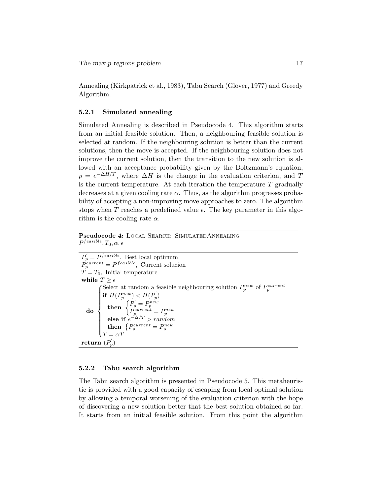Annealing (Kirkpatrick et al., 1983), Tabu Search (Glover, 1977) and Greedy Algorithm.

#### 5.2.1 Simulated annealing

Simulated Annealing is described in Pseudocode 4. This algorithm starts from an initial feasible solution. Then, a neighbouring feasible solution is selected at random. If the neighbouring solution is better than the current solutions, then the move is accepted. If the neighbouring solution does not improve the current solution, then the transition to the new solution is allowed with an acceptance probability given by the Boltzmann's equation,  $p = e^{-\Delta H/T}$ , where  $\Delta H$  is the change in the evaluation criterion, and T is the current temperature. At each iteration the temperature  $T$  gradually decreases at a given cooling rate  $\alpha$ . Thus, as the algorithm progresses probability of accepting a non-improving move approaches to zero. The algorithm stops when T reaches a predefined value  $\epsilon$ . The key parameter in this algorithm is the cooling rate  $\alpha$ .

### Pseudocode 4: Local Search: SimulatedAnnealing  $P^{feasible}, T_0, \alpha, \epsilon$

 $P_p' = P^{feasible}$ , Best local optimum  $\dot{P}_{p}^{current} = P^{feasible}$ , Current solucion  $T = T_0$ , Initial temperature while  $T \geq \epsilon$ do Select at random a feasible neighbouring solution  $P_p^{new}$  of  $P_p^{current}$  $\overline{\mathcal{L}}$ if  $H(P_p^{new}) < H(P_p^{'})$  $\textbf{then} \begin{cases} P'_p = P_p^{new} \ P_p^{current} = P_p^{new} \ \textbf{else if } e^{-\Delta/T} > random \end{cases}$ then  $\left\{P_p^{current} = P_p^{new}\right\}$  $T = \alpha T$  $\textbf{return}\,\, (P_{p}^{'} )$ 

#### 5.2.2 Tabu search algorithm

The Tabu search algorithm is presented in Pseudocode 5. This metaheuristic is provided with a good capacity of escaping from local optimal solution by allowing a temporal worsening of the evaluation criterion with the hope of discovering a new solution better that the best solution obtained so far. It starts from an initial feasible solution. From this point the algorithm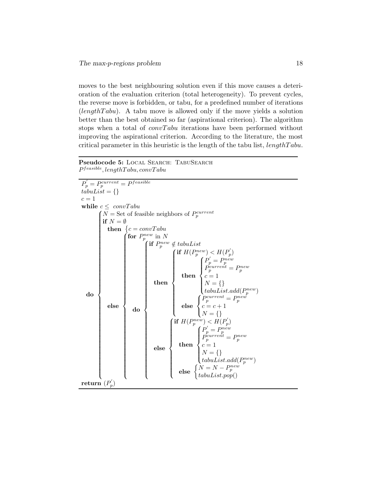moves to the best neighbouring solution even if this move causes a deterioration of the evaluation criterion (total heterogeneity). To prevent cycles, the reverse move is forbidden, or tabu, for a predefined number of iterations  $(lengthTabu)$ . A tabu move is allowed only if the move yields a solution better than the best obtained so far (aspirational criterion). The algorithm stops when a total of  $convTabu$  iterations have been performed without improving the aspirational criterion. According to the literature, the most critical parameter in this heuristic is the length of the tabu list,  $lengthTabu$ .

#### Pseudocode 5: LOCAL SEARCH: TABUSEARCH  $P^{feasible}$ , lengthTabu, convTabu

 $P_{p}^{'} = P_{p}^{current} = P^{feasible}$  $tabuList = \{\}$  $c=1\,$ while  $c \leq \text{convTabu}$  $\begin{array}{|c|c|c|}\hline \multicolumn{1}{|c|}{\multicolumn{1}{c|}{\multicolumn{1}{c|}{\multicolumn{1}{c|}{\multicolumn{1}{c|}{\multicolumn{1}{c|}{\multicolumn{1}{c|}{\multicolumn{1}{c|}{\multicolumn{1}{c|}{\multicolumn{1}{c|}{\multicolumn{1}{c|}{\multicolumn{1}{c|}{\multicolumn{1}{c|}{\multicolumn{1}{c|}{\multicolumn{1}{c|}{\multicolumn{1}{c|}{\multicolumn{1}{c|}{\multicolumn{1}{c|}{\multicolumn{1}{c|}{\multicolumn{1}{c|}{\multicolumn$  $N =$  Set of feasible neighbors of  $P_p^{current}$  if  $N = \emptyset$ then  $\{c = convTabu$ else  $\int$  for  $P_p^{new}$  in N  $\begin{array}{c} \begin{array}{c} \begin{array}{c} \end{array} \\ \end{array} \end{array}$  do  $\int$  if  $P_p^{new} \notin tabuList$  then  $\int$  if  $H(P_p^{new}) < H(P_p')$  $\begin{array}{c} \hline \end{array}$  $\begin{array}{c} \hline \end{array}$ then  $\sqrt{ }$  $\int$  $\vert$  $P_p' = P_p^{new}$ <br>  $P_p^{current} = P_p^{new}$ <br>  $c = 1$  $N = \{\}$  $tabuList.add(P_p^{new})$ else  $\sqrt{ }$  $\begin{cases} P_p^{current} = P_p^{new} \\ c = c + 1 \end{cases}$  $\mathcal{L}$  $N = \{\}$ else  $\sqrt{ }$  $\begin{array}{c} \hline \end{array}$  if  $H(P_p^{new}) < H(P_p^{'})$ then  $\sqrt{ }$  $\int$  $\overline{\mathcal{L}}$  $P_p' = P_p^{new}$ <br>  $P_p^{current} = P_p^{new}$ <br>  $c = 1$  $N = \{\}$  $tabuList.add(P_p^{new})$ else  $\begin{cases} N = N - P_p^{new} \\ tabuList.pop() \end{cases}$  $\operatorname{return}^\cdot{(P'_p}$ )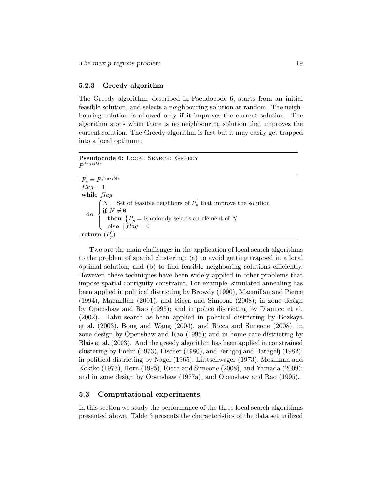#### 5.2.3 Greedy algorithm

The Greedy algorithm, described in Pseudocode 6, starts from an initial feasible solution, and selects a neighbouring solution at random. The neighbouring solution is allowed only if it improves the current solution. The algorithm stops when there is no neighbouring solution that improves the current solution. The Greedy algorithm is fast but it may easily get trapped into a local optimum.

Pseudocode 6: LOCAL SEARCH: GREEDY  $P^{feasible}$ 

| $P_p^{'} = P^{feasible}$                                                                                                                                                                                                                                                             |
|--------------------------------------------------------------------------------------------------------------------------------------------------------------------------------------------------------------------------------------------------------------------------------------|
| $flag = 1$                                                                                                                                                                                                                                                                           |
| while flag                                                                                                                                                                                                                                                                           |
|                                                                                                                                                                                                                                                                                      |
|                                                                                                                                                                                                                                                                                      |
|                                                                                                                                                                                                                                                                                      |
|                                                                                                                                                                                                                                                                                      |
| $\textbf{do} \begin{cases} N = \text{Set of feasible neighbors of } P'_p \text{ that improve the solution} \\ \textbf{if } N \neq \emptyset \\ \textbf{then } \{P'_p = \text{Randomly selects an element of } N \\ \textbf{else } \{flag = 0 \\ \textbf{return } (P'_p) \end{cases}$ |

Two are the main challenges in the application of local search algorithms to the problem of spatial clustering: (a) to avoid getting trapped in a local optimal solution, and (b) to find feasible neighboring solutions efficiently. However, these techniques have been widely applied in other problems that impose spatial contiguity constraint. For example, simulated annealing has been applied in political districting by Browdy (1990), Macmillan and Pierce (1994), Macmillan (2001), and Ricca and Simeone (2008); in zone design by Openshaw and Rao (1995); and in police districting by D'amico et al. (2002). Tabu search as been applied in political districting by Bozkaya et al. (2003), Bong and Wang (2004), and Ricca and Simeone (2008); in zone design by Openshaw and Rao (1995); and in home care districting by Blais et al. (2003). And the greedy algorithm has been applied in constrained clustering by Bodin (1973), Fischer (1980), and Ferligoj and Batagelj (1982); in political districting by Nagel (1965), Liittschwager (1973), Moshman and Kokiko (1973), Horn (1995), Ricca and Simeone (2008), and Yamada (2009); and in zone design by Openshaw (1977a), and Openshaw and Rao (1995).

#### 5.3 Computational experiments

In this section we study the performance of the three local search algorithms presented above. Table 3 presents the characteristics of the data set utilized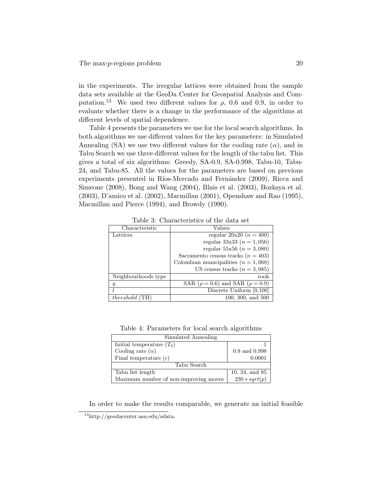in the experiments. The irregular lattices were obtained from the sample data sets available at the GeoDa Center for Geospatial Analysis and Computation.<sup>13</sup> We used two different values for  $\rho$ , 0.6 and 0.9, in order to evaluate whether there is a change in the performance of the algorithms at different levels of spatial dependence.

Table 4 presents the parameters we use for the local search algorithms. In both algorithms we use different values for the key parameters: in Simulated Annealing (SA) we use two different values for the cooling rate  $(\alpha)$ , and in Tabu Search we use three different values for the length of the tabu list. This gives a total of six algorithms: Greedy, SA-0.9, SA-0.998, Tabu-10, Tabu-24, and Tabu-85. All the values for the parameters are based on previous experiments presented in Ríos-Mercado and Fernández (2009), Ricca and Simeone (2008), Bong and Wang (2004), Blais et al. (2003), Bozkaya et al. (2003), D'amico et al. (2002), Macmillan (2001), Openshaw and Rao (1995), Macmillan and Pierce (1994), and Browdy (1990).

| Characteristic        | Values                                        |
|-----------------------|-----------------------------------------------|
| Lattices              | regular $20x20(n = 400)$                      |
|                       | regular 33x33 ( $n = 1,056$ )                 |
|                       | regular 55x56 ( $n = 3,080$ )                 |
|                       | Sacramento census tracks $(n = 403)$          |
|                       | Colombian municipalities $(n = 1,068)$        |
|                       | US census tracks $(n = 3,085)$                |
| Neighbourhoods type   | rook                                          |
| y                     | SAR ( $\rho = 0.6$ ) and SAR ( $\rho = 0.9$ ) |
|                       | Discrete Uniform $\overline{[0,100]}$         |
| <i>threshold</i> (TH) | $100, 300, \text{ and } 500$                  |

Table 3: Characteristics of the data set

Table 4: Parameters for local search algorithms

| Simulated Annealing                   |                   |  |  |  |
|---------------------------------------|-------------------|--|--|--|
| Initial temperature $(T_0)$           |                   |  |  |  |
| Cooling rate $(\alpha)$               | $0.9$ and $0.998$ |  |  |  |
| Final temperature $(\epsilon)$        | 0.0001            |  |  |  |
| Tabu Search                           |                   |  |  |  |
| Tabu list length                      | 10, 24, and 85    |  |  |  |
| Maximum number of non-improving moves | $230 * sqrt(p)$   |  |  |  |

In order to make the results comparable, we generate an initial feasible

<sup>13</sup>http://geodacenter.asu.edu/sdata.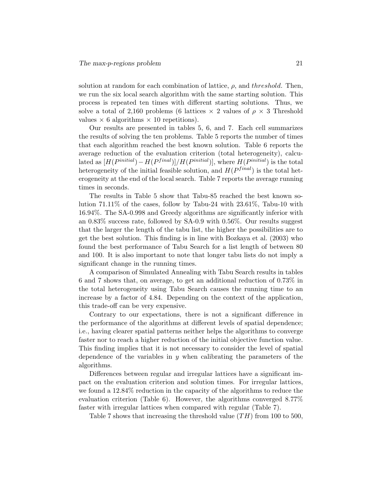solution at random for each combination of lattice,  $\rho$ , and threshold. Then, we run the six local search algorithm with the same starting solution. This process is repeated ten times with different starting solutions. Thus, we solve a total of 2,160 problems (6 lattices  $\times$  2 values of  $\rho \times 3$  Threshold values  $\times$  6 algorithms  $\times$  10 repetitions).

Our results are presented in tables 5, 6, and 7. Each cell summarizes the results of solving the ten problems. Table 5 reports the number of times that each algorithm reached the best known solution. Table 6 reports the average reduction of the evaluation criterion (total heterogeneity), calculated as  $[H(P^{initial})-H(P^{final})]/H(P^{initial})]$ , where  $H(P^{initial})$  is the total heterogeneity of the initial feasible solution, and  $H(P^{final})$  is the total heterogeneity at the end of the local search. Table 7 reports the average running times in seconds.

The results in Table 5 show that Tabu-85 reached the best known solution 71.11% of the cases, follow by Tabu-24 with 23.61%, Tabu-10 with 16.94%. The SA-0.998 and Greedy algorithms are significantly inferior with an 0.83% success rate, followed by SA-0.9 with 0.56%. Our results suggest that the larger the length of the tabu list, the higher the possibilities are to get the best solution. This finding is in line with Bozkaya et al. (2003) who found the best performance of Tabu Search for a list length of between 80 and 100. It is also important to note that longer tabu lists do not imply a significant change in the running times.

A comparison of Simulated Annealing with Tabu Search results in tables 6 and 7 shows that, on average, to get an additional reduction of 0.73% in the total heterogeneity using Tabu Search causes the running time to an increase by a factor of 4.84. Depending on the context of the application, this trade-off can be very expensive.

Contrary to our expectations, there is not a significant difference in the performance of the algorithms at different levels of spatial dependence; i.e., having clearer spatial patterns neither helps the algorithms to converge faster nor to reach a higher reduction of the initial objective function value. This finding implies that it is not necessary to consider the level of spatial dependence of the variables in  $y$  when calibrating the parameters of the algorithms.

Differences between regular and irregular lattices have a significant impact on the evaluation criterion and solution times. For irregular lattices, we found a 12.84% reduction in the capacity of the algorithms to reduce the evaluation criterion (Table 6). However, the algorithms converged 8.77% faster with irregular lattices when compared with regular (Table 7).

Table 7 shows that increasing the threshold value  $(TH)$  from 100 to 500,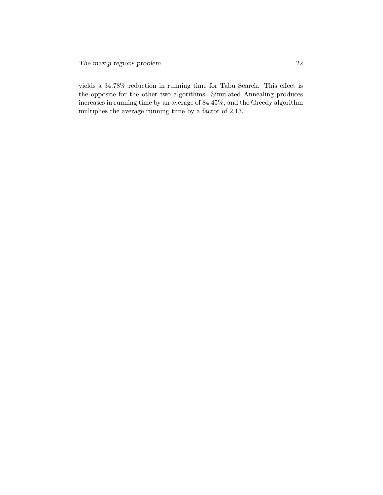yields a 34.78% reduction in running time for Tabu Search. This effect is the opposite for the other two algorithms: Simulated Annealing produces increases in running time by an average of 84.45%, and the Greedy algorithm multiplies the average running time by a factor of 2.13.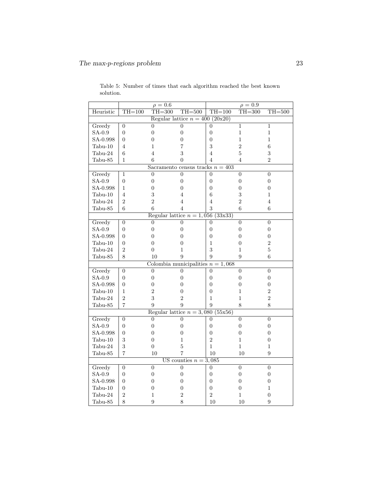|                                   | $\rho = 0.6$     |                                     |                         | $\rho = 0.9$     |                  |                  |  |
|-----------------------------------|------------------|-------------------------------------|-------------------------|------------------|------------------|------------------|--|
| Heuristic                         | $TH=100$         | $TH = 300$                          | $TH = 500$              | $TH=100$         | $TH = 300$       | $TH=500$         |  |
| Regular lattice $n = 400 (20x20)$ |                  |                                     |                         |                  |                  |                  |  |
| Greedy                            | $\overline{0}$   | $\overline{0}$                      | $\overline{0}$          | $\overline{0}$   | $\mathbf{1}$     | $\mathbf{1}$     |  |
| $SA-0.9$                          | $\overline{0}$   | $\overline{0}$                      | $\overline{0}$          | $\overline{0}$   | $\mathbf 1$      | $\mathbf{1}$     |  |
| SA-0.998                          | $\overline{0}$   | 0                                   | 0                       | $\overline{0}$   | 1                | 1                |  |
| $Tabu-10$                         | $\overline{4}$   | 1                                   | 7                       | 3                | $\overline{2}$   | 6                |  |
| Tabu-24                           | 6                | 4                                   | 3                       | $\overline{4}$   | 5                | 3                |  |
| Tabu-85                           | $\mathbf{1}$     | 6                                   | 0                       | 4                | $\overline{4}$   | $\overline{2}$   |  |
|                                   |                  | Sacramento census tracks $n = 403$  |                         |                  |                  |                  |  |
| Greedy                            | 1                | $\overline{0}$                      | $\overline{0}$          | $\overline{0}$   | $\overline{0}$   | $\overline{0}$   |  |
| $SA-0.9$                          | $\overline{0}$   | $\overline{0}$                      | $\boldsymbol{0}$        | $\overline{0}$   | $\boldsymbol{0}$ | $\overline{0}$   |  |
| SA-0.998                          | 1                | 0                                   | $\overline{0}$          | $\overline{0}$   | 0                | $\overline{0}$   |  |
| $Tabu-10$                         | 4                | 3                                   | 4                       | 6                | 3                | 1                |  |
| Tabu-24                           | $\overline{2}$   | $\overline{2}$                      | 4                       | 4                | $\overline{2}$   | 4                |  |
| Tabu-85                           | 6                | 6                                   | 4                       | 3                | 6                | 6                |  |
|                                   |                  | Regular lattice $n = 1,056$         |                         | (33x33)          |                  |                  |  |
| Greedy                            | $\overline{0}$   | $\boldsymbol{0}$                    | $\overline{0}$          | $\overline{0}$   | $\overline{0}$   | $\overline{0}$   |  |
| $SA-0.9$                          | $\boldsymbol{0}$ | $\boldsymbol{0}$                    | $\overline{0}$          | $\boldsymbol{0}$ | $\overline{0}$   | $\overline{0}$   |  |
| SA-0.998                          | $\overline{0}$   | $\overline{0}$                      | $\overline{0}$          | $\overline{0}$   | $\overline{0}$   | $\overline{0}$   |  |
| $Tabu-10$                         | $\boldsymbol{0}$ | $\boldsymbol{0}$                    | $\overline{0}$          | $\mathbf{1}$     | $\boldsymbol{0}$ | $\overline{2}$   |  |
| Tabu-24                           | $\overline{2}$   | $\overline{0}$                      | 1                       | 3                | 1                | 5                |  |
| Tabu-85                           | 8                | 10                                  | 9                       | 9                | 9                | 6                |  |
|                                   |                  | Colombia municipalities $n = 1,068$ |                         |                  |                  |                  |  |
| Greedy                            | $\overline{0}$   | 0                                   | $\overline{0}$          | $\overline{0}$   | $\overline{0}$   | $\overline{0}$   |  |
| $SA-0.9$                          | $\boldsymbol{0}$ | $\boldsymbol{0}$                    | 0                       | $\overline{0}$   | $\overline{0}$   | $\boldsymbol{0}$ |  |
| SA-0.998                          | $\overline{0}$   | $\overline{0}$                      | 0                       | $\overline{0}$   | $\overline{0}$   | $\overline{0}$   |  |
| $Tabu-10$                         | $\mathbf 1$      | $\overline{2}$                      | $\overline{0}$          | $\overline{0}$   | 1                | $\overline{2}$   |  |
| Tabu-24                           | 2                | 3                                   | $\overline{2}$          | 1                | 1                | $\overline{2}$   |  |
| Tabu-85                           | $\overline{7}$   | 9                                   | 9                       | 9                | 8                | 8                |  |
|                                   |                  | Regular lattice $n = 3,080$         |                         | (55x56)          |                  |                  |  |
| Greedy                            | $\boldsymbol{0}$ | $\boldsymbol{0}$                    | $\overline{0}$          | $\boldsymbol{0}$ | $\overline{0}$   | $\overline{0}$   |  |
| SA-0.9                            | $\overline{0}$   | $\overline{0}$                      | $\overline{0}$          | $\overline{0}$   | $\overline{0}$   | $\overline{0}$   |  |
| SA-0.998                          | $\overline{0}$   | $\boldsymbol{0}$                    | 0                       | $\overline{0}$   | $\theta$         | 0                |  |
| $Tabu-10$                         | 3                | $\overline{0}$                      | $\mathbf{1}$            | $\overline{2}$   | $\overline{1}$   | $\overline{0}$   |  |
| Tabu-24                           | 3                | 0                                   | 5                       | 1                | $\mathbf 1$      | 1                |  |
| Tabu-85                           | $\overline{7}$   | 10                                  | $\overline{7}$          | 10               | 10               | 9                |  |
|                                   |                  |                                     | US counties $n = 3,085$ |                  |                  |                  |  |
| Greedy                            | $\boldsymbol{0}$ | $\overline{0}$                      | $\overline{0}$          | $\boldsymbol{0}$ | $\overline{0}$   | $\overline{0}$   |  |
| $SA-0.9$                          | $\boldsymbol{0}$ | 0                                   | $\overline{0}$          | $\overline{0}$   | 0                | $\overline{0}$   |  |
| SA-0.998                          | $\overline{0}$   | $\overline{0}$                      | $\overline{0}$          | $\overline{0}$   | $\overline{0}$   | $\overline{0}$   |  |
| $Tabu-10$                         | $\boldsymbol{0}$ | 0                                   | 0                       | $\overline{0}$   | 0                | 1                |  |
| Tabu-24                           | $\overline{2}$   | 1                                   | $\overline{2}$          | $\overline{2}$   | 1                | $\overline{0}$   |  |
| Tabu-85                           | 8                | 9                                   | 8                       | 10               | 10               | 9                |  |

Table 5: Number of times that each algorithm reached the best known solution.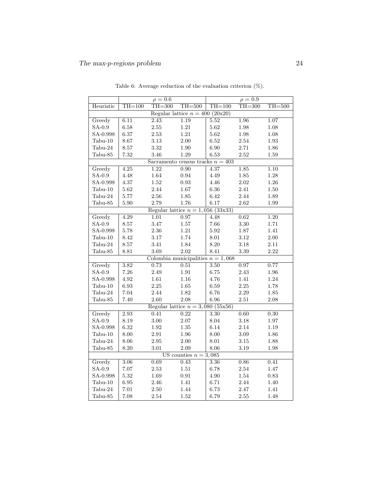|                                     | $\rho = 0.6$ |                                     |                         | $\rho = 0.9$ |            |            |
|-------------------------------------|--------------|-------------------------------------|-------------------------|--------------|------------|------------|
| Heuristic                           | $TH=100$     | $TH = 300$                          | $TH = 500$              | $TH=100$     | $TH = 300$ | $TH = 500$ |
| Regular lattice $n = 400 (20x20)$   |              |                                     |                         |              |            |            |
| Greedy                              | 6.11         | 2.43                                | 1.19                    | 5.52         | 1.96       | 1.07       |
| $SA-0.9$                            | 6.58         | $2.55\,$                            | $1.21\,$                | 5.62         | $1.98\,$   | $1.08\,$   |
| SA-0.998                            | 6.37         | $2.53\,$                            | 1.21                    | 5.62         | $1.98\,$   | $1.08\,$   |
| $Tabu-10$                           | 8.67         | $3.13\,$                            | 2.00                    | 6.52         | 2.54       | $1.93\,$   |
| Tabu-24                             | 8.57         | 3.32                                | 1.90                    | 6.90         | 2.71       | 1.86       |
| Tabu-85                             | 7.32         | 3.46                                | 1.29                    | 6.53         | 2.52       | 1.59       |
|                                     |              | Sacramento census tracks $n = 403$  |                         |              |            |            |
| Greedy                              | 4.25         | 1.22                                | 0.90                    | 4.37         | 1.85       | 1.10       |
| SA-0.9                              | 4.48         | 1.64                                | 0.94                    | 4.49         | 1.85       | 1.28       |
| SA-0.998                            | 4.37         | 1.52                                | $\rm 0.93$              | 4.46         | 2.02       | $1.26\,$   |
| $Tabu-10$                           | 5.62         | 2.44                                | $1.67\,$                | $6.36\,$     | $2.41\,$   | $1.50\,$   |
| Tabu-24                             | 5.77         | $2.56\,$                            | 1.85                    | 6.42         | $2.44\,$   | 1.89       |
| Tabu-85                             | $5.90\,$     | 2.79                                | 1.76                    | 6.17         | 2.62       | 1.99       |
|                                     |              | Regular lattice $n = 1,056$ (33x33) |                         |              |            |            |
| Greedy                              | 4.29         | 1.01                                | 0.97                    | 4.48         | 0.62       | 1.20       |
| $SA-0.9$                            | $8.57\,$     | $3.47\,$                            | $1.57\,$                | 7.66         | $3.30\,$   | 1.71       |
| SA-0.998                            | 5.78         | $2.36\,$                            | $1.21\,$                | 5.92         | $1.87\,$   | 1.41       |
| $Tabu-10$                           | 8.42         | $3.17\,$                            | 1.74                    | $8.01\,$     | $3.12\,$   | $2.00\,$   |
| $Tabu-24$                           | 8.57         | 3.41                                | 1.84                    | 8.20         | 3.18       | 2.11       |
| Tabu-85                             | 8.81         | 3.69                                | 2.02                    | $8.41\,$     | 3.39       | 2.22       |
| Colombia municipalities $n = 1,068$ |              |                                     |                         |              |            |            |
| Greedy                              | 3.82         | 0.73                                | 0.51                    | 3.50         | 0.97       | 0.77       |
| SA-0.9                              | 7.26         | 2.49                                | 1.91                    | 6.75         | 2.43       | 1.96       |
| SA-0.998                            | 4.92         | 1.61                                | $1.16\,$                | 4.76         | 1.41       | $1.24\,$   |
| $Tabu-10$                           | 6.93         | $2.25\,$                            | $1.65\,$                | 6.59         | $2.25\,$   | 1.78       |
| Tabu-24                             | 7.04         | 2.44                                | 1.82                    | 6.76         | 2.29       | $1.85\,$   |
| Tabu-85                             | 7.40         | 2.60                                | 2.08                    | 6.96         | $2.51\,$   | 2.08       |
|                                     |              | Regular lattice $n = 3,080$ (55x56) |                         |              |            |            |
| Greedy                              | 2.93         | 0.41                                | 0.22                    | 3.30         | 0.60       | 0.30       |
| $SA-0.9$                            | 8.19         | 3.00                                | $2.07\,$                | 8.04         | $3.18\,$   | 1.97       |
| SA-0.998                            | 6.32         | $1.92\,$                            | $1.35\,$                | 6.14         | 2.14       | 1.19       |
| $Tabu-10$                           | $8.00\,$     | 2.91                                | $1.96\,$                | 8.00         | $3.09\,$   | 1.86       |
| $Tabu-24$                           | $8.06\,$     | $2.95\,$                            | 2.00                    | 8.01         | 3.15       | 1.88       |
| Tabu-85                             | 8.20         | 3.01                                | 2.09                    | 8.06         | 3.19       | 1.98       |
|                                     |              |                                     | US counties $n = 3,085$ |              |            |            |
| Greedy                              | 3.06         | 0.69                                | 0.43                    | 3.36         | 0.86       | 0.41       |
| SA-0.9                              | $7.07\,$     | 2.53                                | 1.51                    | 6.78         | 2.54       | 1.47       |
| SA-0.998                            | 5.32         | $1.69\,$                            | $\rm 0.91$              | $4.90\,$     | $1.54\,$   | $\rm 0.83$ |
| $Tabu-10$                           | 6.95         | $2.46\,$                            | 1.41                    | 6.71         | $2.44\,$   | 1.40       |
| $Tabu-24$                           | 7.01         | 2.50                                | 1.44                    | 6.73         | 2.47       | 1.41       |
| Tabu-85                             | 7.08         | 2.54                                | 1.52                    | 6.79         | 2.55       | 1.48       |

Table 6: Average reduction of the evaluation criterion (%).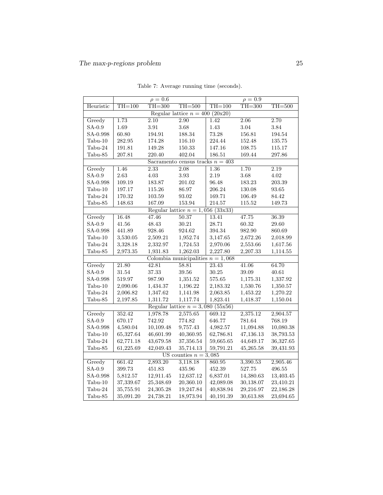|                                      | $\rho = 0.6$ |                   |                                     | $\rho = 0.9$ |            |           |
|--------------------------------------|--------------|-------------------|-------------------------------------|--------------|------------|-----------|
| Heuristic                            | $TH=100$     | $TH = 300$        | $TH=500$                            | $TH=100$     | $TH = 300$ | $TH=500$  |
| (20x20)<br>Regular lattice $n = 400$ |              |                   |                                     |              |            |           |
| Greedy                               | 1.73         | $\overline{2.10}$ | $\overline{2.90}$                   | 1.42         | 2.06       | 2.70      |
| $SA-0.9$                             | 1.69         | 3.91              | 3.68                                | 1.43         | 3.04       | 3.84      |
| SA-0.998                             | 60.80        | 194.91            | 188.34                              | 73.28        | 156.81     | 194.54    |
| $Tabu-10$                            | 282.95       | 174.28            | 116.10                              | 224.44       | 152.48     | 135.75    |
| Tabu-24                              | 191.81       | 149.28            | 150.33                              | 147.16       | 108.75     | 115.17    |
| Tabu-85                              | 207.81       | 220.40            | 402.04                              | 186.51       | 169.44     | 297.86    |
|                                      |              |                   | Sacramento census tracks $n = 403$  |              |            |           |
| Greedy                               | 1.46         | $\overline{2.33}$ | 2.08                                | 1.36         | 1.70       | 2.19      |
| $SA-0.9$                             | 2.63         | 4.03              | 3.93                                | 2.19         | 3.68       | 4.02      |
| SA-0.998                             | 109.19       | 183.87            | 201.02                              | 96.48        | 183.23     | 203.39    |
| $Tabu-10$                            | 197.17       | 115.26            | 86.97                               | 206.24       | 130.08     | 93.65     |
| Tabu-24                              | 170.32       | 103.59            | 93.02                               | 169.71       | 106.49     | 84.42     |
| Tabu-85                              | 148.63       | 167.09            | 153.94                              | 214.57       | 115.52     | 149.73    |
|                                      |              |                   | Regular lattice $n = 1,056$ (33x33) |              |            |           |
| Greedy                               | 16.48        | 47.46             | 50.37                               | 13.41        | 47.75      | 36.39     |
| $SA-0.9$                             | 41.56        | 48.43             | 30.21                               | 28.71        | 60.32      | 29.60     |
| SA-0.998                             | 441.89       | 928.46            | 924.62                              | 394.34       | 982.90     | 860.69    |
| $Tabu-10$                            | 3,530.05     | 2,509.21          | 1,952.74                            | 3,147.65     | 2,672.26   | 2,018.99  |
| Tabu-24                              | 3,328.18     | 2,332.97          | 1,724.53                            | 2,970.06     | 2,553.66   | 1,617.56  |
| Tabu-85                              | 2,973.35     | 1,931.83          | 1,262.03                            | 2,227.80     | 2,207.33   | 1,114.55  |
|                                      |              |                   | Colombia municipalities $n = 1,068$ |              |            |           |
| Greedy                               | 21.80        | 42.81             | 58.81                               | 23.43        | 41.06      | 64.70     |
| $SA-0.9$                             | 31.54        | 37.33             | 39.56                               | $30.25\,$    | 39.09      | 40.61     |
| SA-0.998                             | 519.97       | 987.90            | 1,351.52                            | 575.65       | 1,175.31   | 1,337.92  |
| $Tabu-10$                            | 2,090.06     | 1,434.37          | 1,196.22                            | 2,183.32     | 1,530.76   | 1,350.57  |
| Tabu-24                              | 2,006.82     | 1,347.62          | 1,141.98                            | 2,063.85     | 1,453.22   | 1,270.22  |
| Tabu-85                              | 2,197.85     | 1,311.72          | 1,117.74                            | 1,823.41     | 1,418.37   | 1,150.04  |
|                                      |              |                   | Regular lattice $n = 3,080$ (55x56) |              |            |           |
| Greedy                               | 352.42       | 1,978.78          | 2,575.65                            | 669.12       | 2,375.12   | 2,904.57  |
| $SA-0.9$                             | 670.17       | 742.92            | 774.82                              | 646.77       | 781.64     | 768.19    |
| SA-0.998                             | 4,580.04     | 10,109.48         | 9,757.43                            | 4,982.57     | 11,094.88  | 10,080.38 |
| $Tabu-10$                            | 65,327.64    | 46,601.99         | 40,360.95                           | 62,786.81    | 47,136.13  | 38,793.53 |
| Tabu-24                              | 62,771.18    | 43,679.58         | 37,356.54                           | 59,665.65    | 44,649.17  | 36,327.65 |
| Tabu-85                              | 61,225.69    | 42,049.43         | 35,714.13                           | 59,791.21    | 45,265.58  | 39,431.93 |
|                                      |              |                   | US counties $n = 3,085$             |              |            |           |
| Greedy                               | 661.42       | 2,893.20          | 3,118.18                            | 860.95       | 3,390.53   | 2,905.46  |
| $SA-0.9$                             | 399.73       | 451.83            | 435.96                              | 452.39       | 527.75     | 496.55    |
| SA-0.998                             | 5,812.57     | 12,911.45         | 12,637.12                           | 6,837.01     | 14,380.63  | 13,403.45 |
| Tabu-10                              | 37,339.67    | 25,348.69         | 20,360.10                           | 42,089.08    | 30,138.07  | 23,410.21 |
| Tabu-24                              | 35,755.91    | 24,305.28         | 19,247.84                           | 40,838.94    | 29,216.97  | 22,186.28 |
| Tabu-85                              | 35,091.20    | 24,738.21         | 18,973.94                           | 40,191.39    | 30,613.88  | 23,694.65 |

Table 7: Average running time (seconds).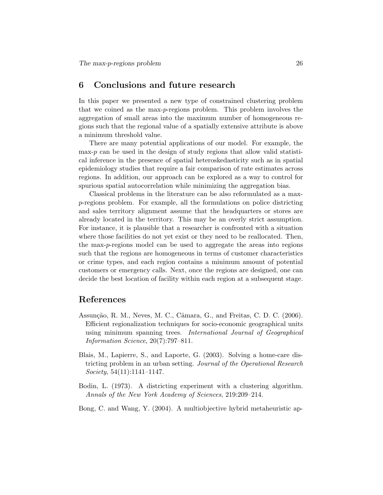## 6 Conclusions and future research

In this paper we presented a new type of constrained clustering problem that we coined as the max-p-regions problem. This problem involves the aggregation of small areas into the maximum number of homogeneous regions such that the regional value of a spatially extensive attribute is above a minimum threshold value.

There are many potential applications of our model. For example, the max- $p$  can be used in the design of study regions that allow valid statistical inference in the presence of spatial heteroskedasticity such as in spatial epidemiology studies that require a fair comparison of rate estimates across regions. In addition, our approach can be explored as a way to control for spurious spatial autocorrelation while minimizing the aggregation bias.

Classical problems in the literature can be also reformulated as a maxp-regions problem. For example, all the formulations on police districting and sales territory alignment assume that the headquarters or stores are already located in the territory. This may be an overly strict assumption. For instance, it is plausible that a researcher is confronted with a situation where those facilities do not yet exist or they need to be reallocated. Then, the max-p-regions model can be used to aggregate the areas into regions such that the regions are homogeneous in terms of customer characteristics or crime types, and each region contains a minimum amount of potential customers or emergency calls. Next, once the regions are designed, one can decide the best location of facility within each region at a subsequent stage.

## References

- Assunção, R. M., Neves, M. C., Câmara, G., and Freitas, C. D. C. (2006). Efficient regionalization techniques for socio-economic geographical units using minimum spanning trees. International Journal of Geographical Information Science, 20(7):797–811.
- Blais, M., Lapierre, S., and Laporte, G. (2003). Solving a home-care districting problem in an urban setting. Journal of the Operational Research  $Society, 54(11):1141-1147.$
- Bodin, L. (1973). A districting experiment with a clustering algorithm. Annals of the New York Academy of Sciences, 219:209–214.
- Bong, C. and Wang, Y. (2004). A multiobjective hybrid metaheuristic ap-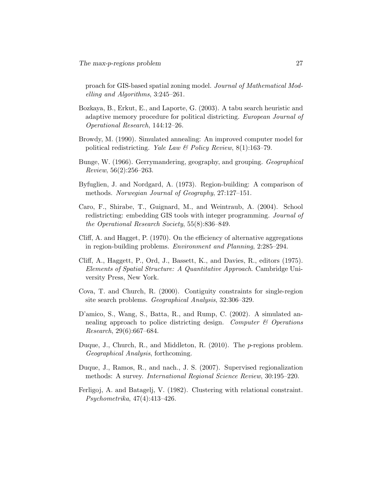proach for GIS-based spatial zoning model. Journal of Mathematical Modelling and Algorithms, 3:245–261.

- Bozkaya, B., Erkut, E., and Laporte, G. (2003). A tabu search heuristic and adaptive memory procedure for political districting. European Journal of Operational Research, 144:12–26.
- Browdy, M. (1990). Simulated annealing: An improved computer model for political redistricting. Yale Law & Policy Review,  $8(1):163-79$ .
- Bunge, W. (1966). Gerrymandering, geography, and grouping. Geographical Review, 56(2):256–263.
- Byfuglien, J. and Nordgard, A. (1973). Region-building: A comparison of methods. Norwegian Journal of Geography, 27:127–151.
- Caro, F., Shirabe, T., Guignard, M., and Weintraub, A. (2004). School redistricting: embedding GIS tools with integer programming. Journal of the Operational Research Society, 55(8):836–849.
- Cliff, A. and Hagget, P. (1970). On the efficiency of alternative aggregations in region-building problems. Environment and Planning, 2:285–294.
- Cliff, A., Haggett, P., Ord, J., Bassett, K., and Davies, R., editors (1975). Elements of Spatial Structure: A Quantitative Approach. Cambridge University Press, New York.
- Cova, T. and Church, R. (2000). Contiguity constraints for single-region site search problems. Geographical Analysis, 32:306–329.
- D'amico, S., Wang, S., Batta, R., and Rump, C. (2002). A simulated annealing approach to police districting design. Computer  $\mathcal C$  Operations Research, 29(6):667–684.
- Duque, J., Church, R., and Middleton, R. (2010). The *p*-regions problem. Geographical Analysis, forthcoming.
- Duque, J., Ramos, R., and nach., J. S. (2007). Supervised regionalization methods: A survey. International Regional Science Review, 30:195–220.
- Ferligoj, A. and Batagelj, V. (1982). Clustering with relational constraint. Psychometrika, 47(4):413–426.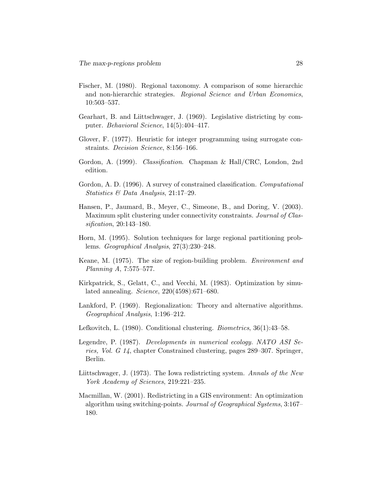- Fischer, M. (1980). Regional taxonomy. A comparison of some hierarchic and non-hierarchic strategies. Regional Science and Urban Economics, 10:503–537.
- Gearhart, B. and Liittschwager, J. (1969). Legislative districting by computer. Behavioral Science, 14(5):404–417.
- Glover, F. (1977). Heuristic for integer programming using surrogate constraints. Decision Science, 8:156–166.
- Gordon, A. (1999). Classification. Chapman & Hall/CRC, London, 2nd edition.
- Gordon, A. D. (1996). A survey of constrained classification. Computational Statistics & Data Analysis, 21:17–29.
- Hansen, P., Jaumard, B., Meyer, C., Simeone, B., and Doring, V. (2003). Maximum split clustering under connectivity constraints. Journal of Classification, 20:143–180.
- Horn, M. (1995). Solution techniques for large regional partitioning problems. Geographical Analysis, 27(3):230–248.
- Keane, M. (1975). The size of region-building problem. Environment and Planning A, 7:575–577.
- Kirkpatrick, S., Gelatt, C., and Vecchi, M. (1983). Optimization by simulated annealing. Science, 220(4598):671–680.
- Lankford, P. (1969). Regionalization: Theory and alternative algorithms. Geographical Analysis, 1:196–212.
- Lefkovitch, L. (1980). Conditional clustering. Biometrics, 36(1):43–58.
- Legendre, P. (1987). Developments in numerical ecology. NATO ASI Series, Vol. G 14, chapter Constrained clustering, pages 289–307. Springer, Berlin.
- Liittschwager, J. (1973). The Iowa redistricting system. Annals of the New York Academy of Sciences, 219:221–235.
- Macmillan, W. (2001). Redistricting in a GIS environment: An optimization algorithm using switching-points. Journal of Geographical Systems, 3:167– 180.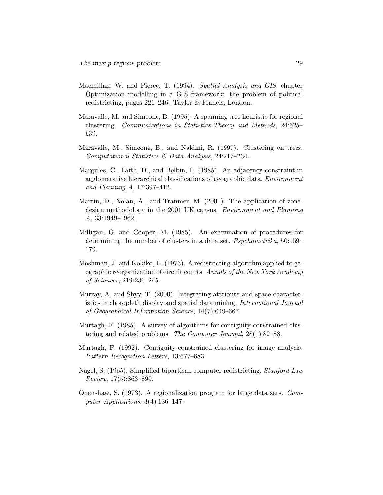- Macmillan, W. and Pierce, T. (1994). Spatial Analysis and GIS, chapter Optimization modelling in a GIS framework: the problem of political redistricting, pages 221–246. Taylor & Francis, London.
- Maravalle, M. and Simeone, B. (1995). A spanning tree heuristic for regional clustering. Communications in Statistics-Theory and Methods, 24:625– 639.
- Maravalle, M., Simeone, B., and Naldini, R. (1997). Clustering on trees. Computational Statistics & Data Analysis, 24:217–234.
- Margules, C., Faith, D., and Belbin, L. (1985). An adjacency constraint in agglomerative hierarchical classifications of geographic data. Environment and Planning A, 17:397–412.
- Martin, D., Nolan, A., and Tranmer, M. (2001). The application of zonedesign methodology in the 2001 UK census. Environment and Planning A, 33:1949–1962.
- Milligan, G. and Cooper, M. (1985). An examination of procedures for determining the number of clusters in a data set. Psychometrika, 50:159– 179.
- Moshman, J. and Kokiko, E. (1973). A redistricting algorithm applied to geographic reorganization of circuit courts. Annals of the New York Academy of Sciences, 219:236–245.
- Murray, A. and Shyy, T. (2000). Integrating attribute and space characteristics in choropleth display and spatial data mining. International Journal of Geographical Information Science, 14(7):649–667.
- Murtagh, F. (1985). A survey of algorithms for contiguity-constrained clustering and related problems. The Computer Journal, 28(1):82–88.
- Murtagh, F. (1992). Contiguity-constrained clustering for image analysis. Pattern Recognition Letters, 13:677–683.
- Nagel, S. (1965). Simplified bipartisan computer redistricting. Stanford Law Review, 17(5):863–899.
- Openshaw, S. (1973). A regionalization program for large data sets. Computer Applications, 3(4):136–147.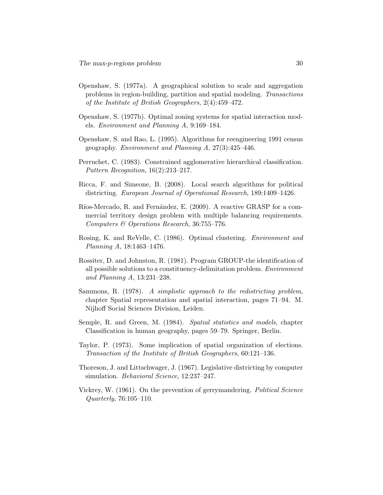- Openshaw, S. (1977a). A geographical solution to scale and aggregation problems in region-building, partition and spatial modeling. Transactions of the Institute of British Geographers, 2(4):459–472.
- Openshaw, S. (1977b). Optimal zoning systems for spatial interaction models. Environment and Planning A, 9:169–184.
- Openshaw, S. and Rao, L. (1995). Algorithms for reengineering 1991 census geography. Environment and Planning A, 27(3):425–446.
- Perruchet, C. (1983). Constrained agglomerative hierarchical classification. Pattern Recognition, 16(2):213–217.
- Ricca, F. and Simeone, B. (2008). Local search algorithms for political districting. European Journal of Operational Research, 189:1409–1426.
- Ríos-Mercado, R. and Fernández, E. (2009). A reactive GRASP for a commercial territory design problem with multiple balancing requirements. Computers & Operations Research, 36:755–776.
- Rosing, K. and ReVelle, C. (1986). Optimal clustering. Environment and Planning A, 18:1463–1476.
- Rossiter, D. and Johnston, R. (1981). Program GROUP-the identification of all possible solutions to a constituency-delimitation problem. Environment and Planning A, 13:231–238.
- Sammons, R. (1978). A simplistic approach to the redistricting problem, chapter Spatial representation and spatial interaction, pages 71–94. M. Nijhoff Social Sciences Division, Leiden.
- Semple, R. and Green, M. (1984). Spatial statistics and models, chapter Classification in human geography, pages 59–79. Springer, Berlin.
- Taylor, P. (1973). Some implication of spatial organization of elections. Transaction of the Institute of British Geographers, 60:121–136.
- Thoreson, J. and Littschwager, J. (1967). Legislative districting by computer simulation. Behavioral Science, 12:237–247.
- Vickrey, W. (1961). On the prevention of gerrymandering. Political Science Quarterly, 76:105–110.